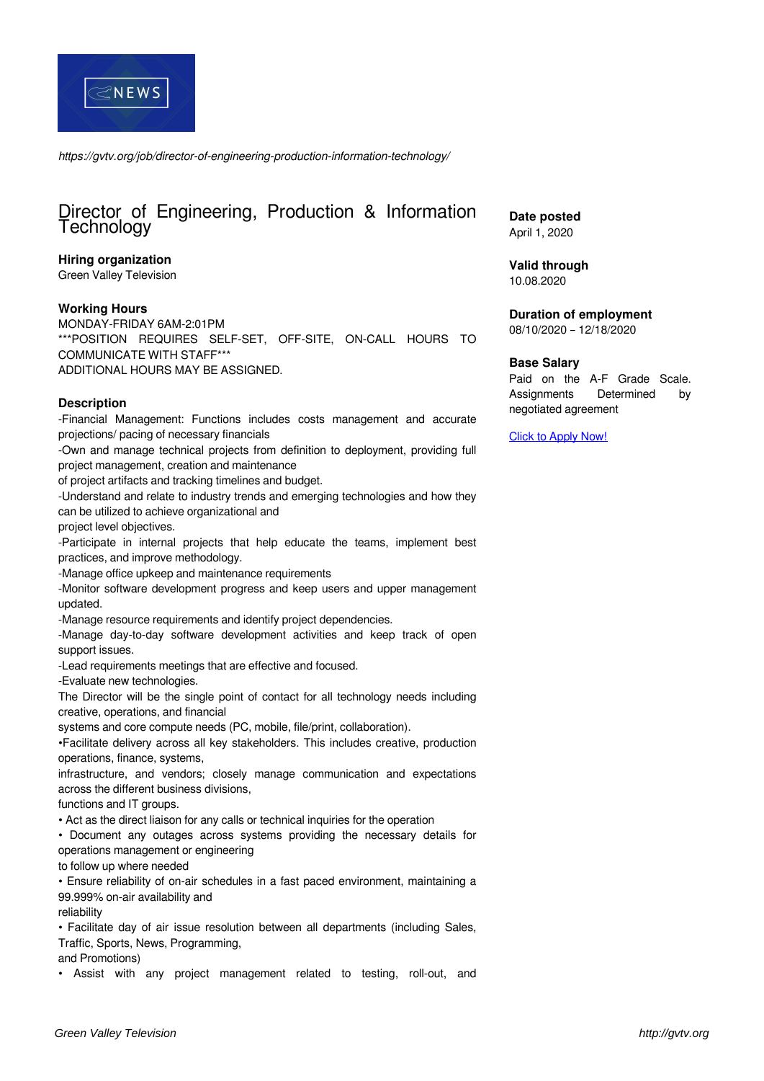

*https://gvtv.org/job/director-of-engineering-production-information-technology/*

# Director of Engineering, Production & Information Technology

#### **Hiring organization**

Green Valley Television

#### **Working Hours**

MONDAY-FRIDAY 6AM-2:01PM \*\*\*POSITION REQUIRES SELF-SET, OFF-SITE, ON-CALL HOURS TO COMMUNICATE WITH STAFF\*\*\* ADDITIONAL HOURS MAY BE ASSIGNED.

#### **Description**

-Financial Management: Functions includes costs management and accurate projections/ pacing of necessary financials

-Own and manage technical projects from definition to deployment, providing full project management, creation and maintenance

of project artifacts and tracking timelines and budget.

-Understand and relate to industry trends and emerging technologies and how they can be utilized to achieve organizational and

project level objectives.

-Participate in internal projects that help educate the teams, implement best practices, and improve methodology.

-Manage office upkeep and maintenance requirements

-Monitor software development progress and keep users and upper management updated.

-Manage resource requirements and identify project dependencies.

-Manage day-to-day software development activities and keep track of open support issues.

-Lead requirements meetings that are effective and focused.

-Evaluate new technologies.

The Director will be the single point of contact for all technology needs including creative, operations, and financial

systems and core compute needs (PC, mobile, file/print, collaboration).

•Facilitate delivery across all key stakeholders. This includes creative, production operations, finance, systems,

infrastructure, and vendors; closely manage communication and expectations across the different business divisions,

functions and IT groups.

• Act as the direct liaison for any calls or technical inquiries for the operation

• Document any outages across systems providing the necessary details for operations management or engineering

to follow up where needed

• Ensure reliability of on-air schedules in a fast paced environment, maintaining a 99.999% on-air availability and

reliability

• Facilitate day of air issue resolution between all departments (including Sales, Traffic, Sports, News, Programming,

and Promotions)

• Assist with any project management related to testing, roll-out, and

**Date posted** April 1, 2020

**Valid through**

10.08.2020

**Duration of employment** 08/10/2020 – 12/18/2020

### **Base Salary**

Paid on the A-F Grade Scale. Assignments Determined by negotiated agreement

[Click to Apply Now!](https://docs.google.com/forms/d/e/1FAIpQLScOpFE8ffKcM5J4X33GS77hj6neXF8r-7ak8680-kLSFfLkCw/viewform?usp=sf_link)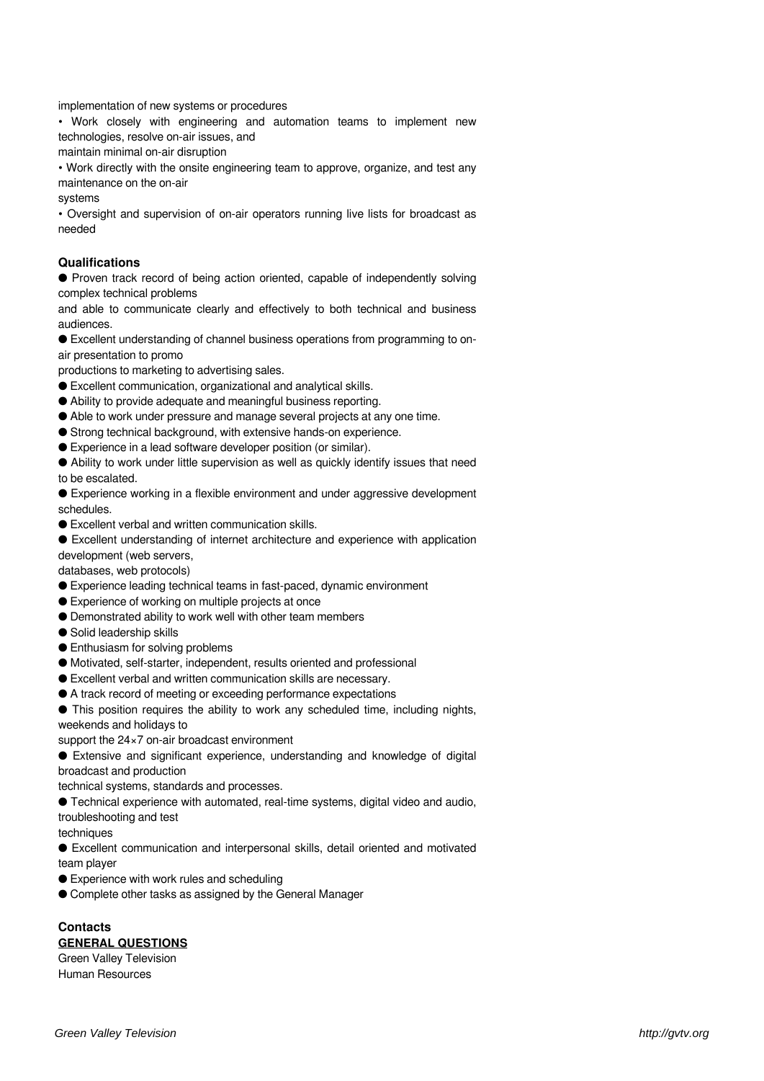implementation of new systems or procedures

• Work closely with engineering and automation teams to implement new technologies, resolve on-air issues, and

maintain minimal on-air disruption

• Work directly with the onsite engineering team to approve, organize, and test any maintenance on the on-air

systems

• Oversight and supervision of on-air operators running live lists for broadcast as needed

#### **Qualifications**

● Proven track record of being action oriented, capable of independently solving complex technical problems

and able to communicate clearly and effectively to both technical and business audiences.

● Excellent understanding of channel business operations from programming to onair presentation to promo

productions to marketing to advertising sales.

- Excellent communication, organizational and analytical skills.
- Ability to provide adequate and meaningful business reporting.
- Able to work under pressure and manage several projects at any one time.
- Strong technical background, with extensive hands-on experience.
- Experience in a lead software developer position (or similar).

● Ability to work under little supervision as well as quickly identify issues that need to be escalated.

● Experience working in a flexible environment and under aggressive development schedules.

● Excellent verbal and written communication skills.

● Excellent understanding of internet architecture and experience with application

development (web servers,

databases, web protocols)

- Experience leading technical teams in fast-paced, dynamic environment
- Experience of working on multiple projects at once
- Demonstrated ability to work well with other team members
- Solid leadership skills
- Enthusiasm for solving problems
- Motivated, self-starter, independent, results oriented and professional
- Excellent verbal and written communication skills are necessary.
- A track record of meeting or exceeding performance expectations

● This position requires the ability to work any scheduled time, including nights, weekends and holidays to

support the 24×7 on-air broadcast environment

● Extensive and significant experience, understanding and knowledge of digital broadcast and production

technical systems, standards and processes.

● Technical experience with automated, real-time systems, digital video and audio, troubleshooting and test

techniques

● Excellent communication and interpersonal skills, detail oriented and motivated team player

● Experience with work rules and scheduling

● Complete other tasks as assigned by the General Manager

## **Contacts**

**GENERAL QUESTIONS** Green Valley Television

Human Resources